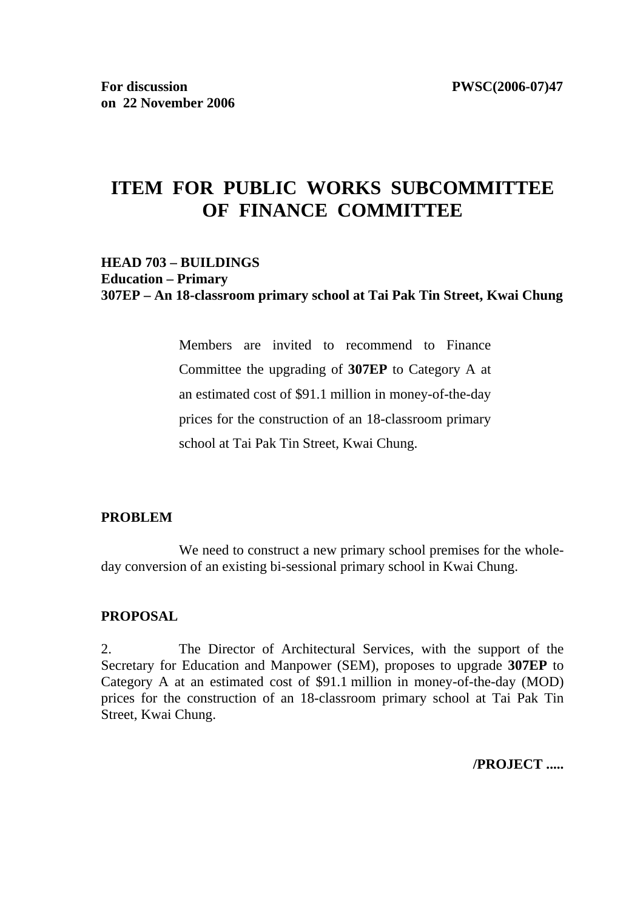# **ITEM FOR PUBLIC WORKS SUBCOMMITTEE OF FINANCE COMMITTEE**

# **HEAD 703 – BUILDINGS Education – Primary 307EP – An 18-classroom primary school at Tai Pak Tin Street, Kwai Chung**

Members are invited to recommend to Finance Committee the upgrading of **307EP** to Category A at an estimated cost of \$91.1 million in money-of-the-day prices for the construction of an 18-classroom primary school at Tai Pak Tin Street, Kwai Chung.

### **PROBLEM**

 We need to construct a new primary school premises for the wholeday conversion of an existing bi-sessional primary school in Kwai Chung.

### **PROPOSAL**

2. The Director of Architectural Services, with the support of the Secretary for Education and Manpower (SEM), proposes to upgrade **307EP** to Category A at an estimated cost of \$91.1 million in money-of-the-day (MOD) prices for the construction of an 18-classroom primary school at Tai Pak Tin Street, Kwai Chung.

**/PROJECT .....**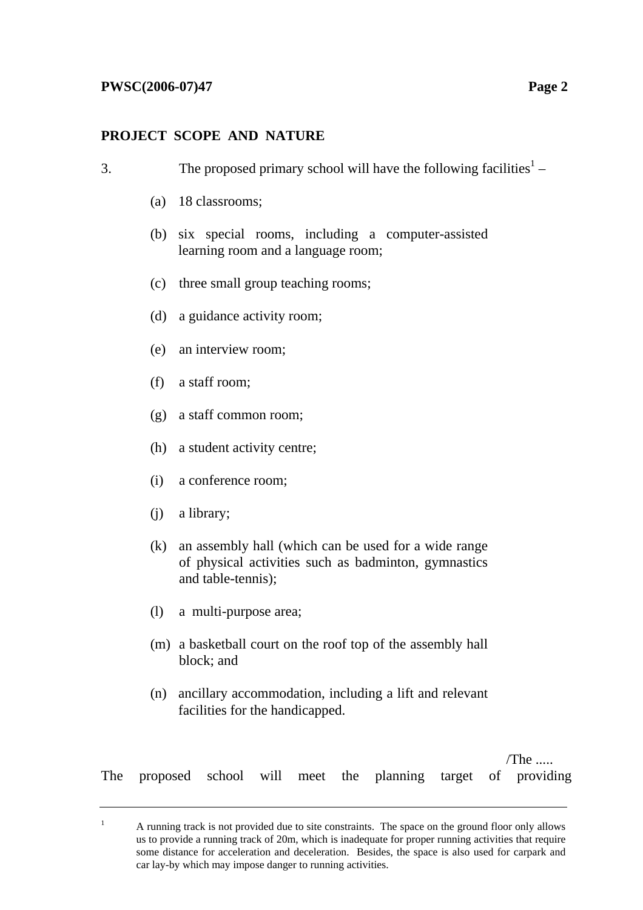# **PROJECT SCOPE AND NATURE**

| 3. |                 | The proposed primary school will have the following facilities <sup>1</sup> –                                                      |
|----|-----------------|------------------------------------------------------------------------------------------------------------------------------------|
|    |                 | (a) 18 classrooms;                                                                                                                 |
|    |                 | (b) six special rooms, including a computer-assisted<br>learning room and a language room;                                         |
|    | (c)             | three small group teaching rooms;                                                                                                  |
|    | (d)             | a guidance activity room;                                                                                                          |
|    | (e)             | an interview room;                                                                                                                 |
|    |                 | $(f)$ a staff room;                                                                                                                |
|    |                 | (g) a staff common room;                                                                                                           |
|    |                 | (h) a student activity centre;                                                                                                     |
|    | (i)             | a conference room;                                                                                                                 |
|    | (j)             | a library;                                                                                                                         |
|    | (k)             | an assembly hall (which can be used for a wide range<br>of physical activities such as badminton, gymnastics<br>and table-tennis); |
|    | (1)             | a multi-purpose area;                                                                                                              |
|    |                 | (m) a basketball court on the roof top of the assembly hall<br>block; and                                                          |
|    | (n)             | ancillary accommodation, including a lift and relevant<br>facilities for the handicapped.                                          |
|    | The<br>proposed | $/$ The<br>school<br>will<br>the<br>planning<br>of<br>providing<br>target<br>meet                                                  |

<sup>1</sup> A running track is not provided due to site constraints. The space on the ground floor only allows us to provide a running track of 20m, which is inadequate for proper running activities that require some distance for acceleration and deceleration. Besides, the space is also used for carpark and car lay-by which may impose danger to running activities.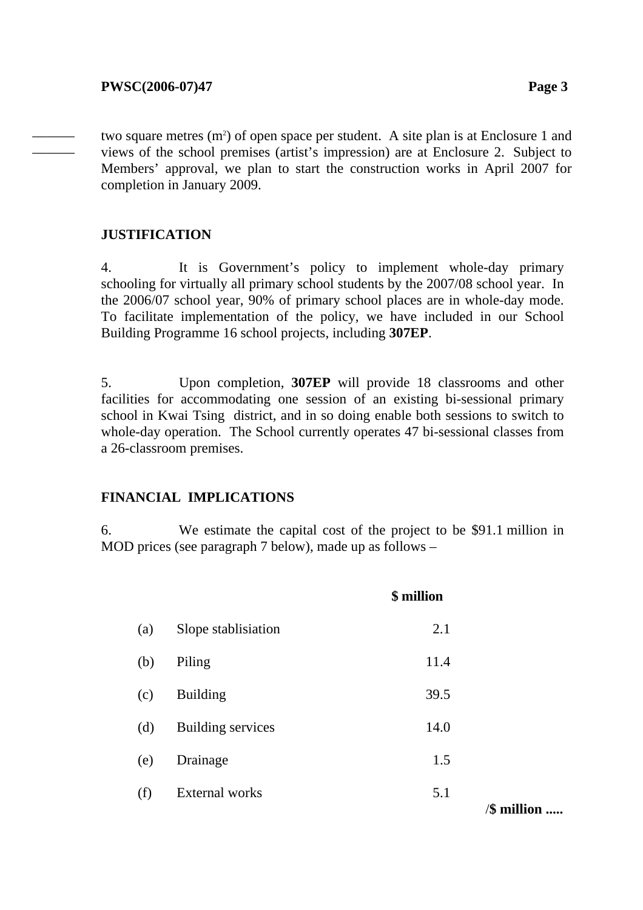——— ———

two square metres  $(m<sup>2</sup>)$  of open space per student. A site plan is at Enclosure 1 and views of the school premises (artist's impression) are at Enclosure 2. Subject to Members' approval, we plan to start the construction works in April 2007 for completion in January 2009.

# **JUSTIFICATION**

4. It is Government's policy to implement whole-day primary schooling for virtually all primary school students by the 2007/08 school year. In the 2006/07 school year, 90% of primary school places are in whole-day mode. To facilitate implementation of the policy, we have included in our School Building Programme 16 school projects, including **307EP**.

5. Upon completion, **307EP** will provide 18 classrooms and other facilities for accommodating one session of an existing bi-sessional primary school in Kwai Tsing district, and in so doing enable both sessions to switch to whole-day operation. The School currently operates 47 bi-sessional classes from a 26-classroom premises.

### **FINANCIAL IMPLICATIONS**

6. We estimate the capital cost of the project to be \$91.1 million in MOD prices (see paragraph 7 below), made up as follows –

|     | \$ million               |      |             |  |  |  |
|-----|--------------------------|------|-------------|--|--|--|
| (a) | Slope stablisiation      | 2.1  |             |  |  |  |
| (b) | Piling                   | 11.4 |             |  |  |  |
| (c) | <b>Building</b>          | 39.5 |             |  |  |  |
| (d) | <b>Building services</b> | 14.0 |             |  |  |  |
| (e) | Drainage                 | 1.5  |             |  |  |  |
| (f) | <b>External works</b>    | 5.1  | /\$ million |  |  |  |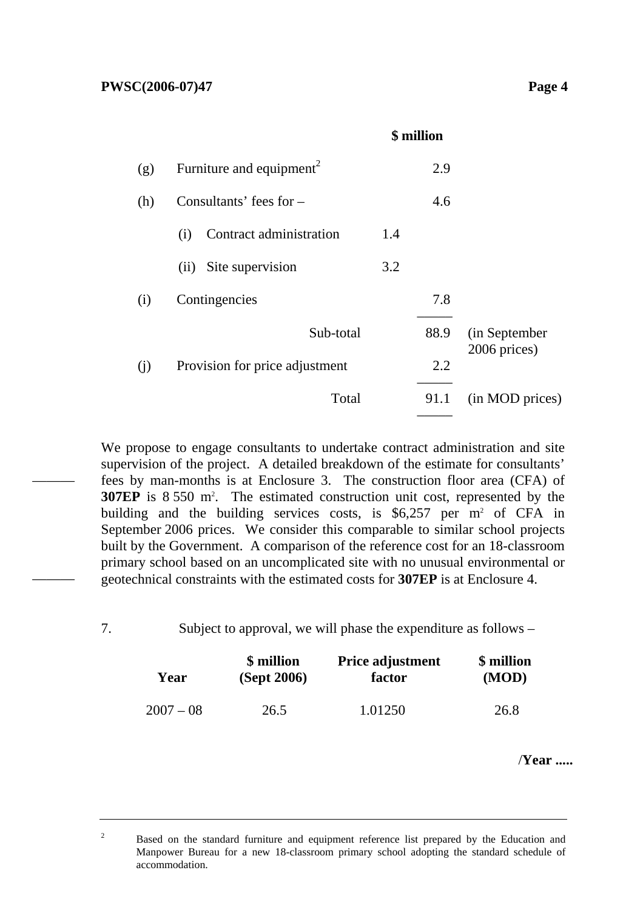———

———

|     | <b>d</b> million                     |     |      |                               |  |  |
|-----|--------------------------------------|-----|------|-------------------------------|--|--|
| (g) | Furniture and equipment <sup>2</sup> |     | 2.9  |                               |  |  |
| (h) | Consultants' fees for $-$            |     | 4.6  |                               |  |  |
|     | Contract administration<br>(i)       | 1.4 |      |                               |  |  |
|     | Site supervision<br>(ii)             | 3.2 |      |                               |  |  |
| (i) | Contingencies                        |     | 7.8  |                               |  |  |
|     | Sub-total                            |     | 88.9 | (in September<br>2006 prices) |  |  |
| (i) | Provision for price adjustment       |     | 2.2  |                               |  |  |
|     | Total                                |     | 91.1 | (in MOD prices)               |  |  |
|     |                                      |     |      |                               |  |  |

**\$ million** 

We propose to engage consultants to undertake contract administration and site supervision of the project. A detailed breakdown of the estimate for consultants' fees by man-months is at Enclosure 3. The construction floor area (CFA) of **307EP** is 8 550 m<sup>2</sup>. The estimated construction unit cost, represented by the building and the building services costs, is  $$6,257$  per m<sup>2</sup> of CFA in September 2006 prices. We consider this comparable to similar school projects built by the Government. A comparison of the reference cost for an 18-classroom primary school based on an uncomplicated site with no unusual environmental or geotechnical constraints with the estimated costs for **307EP** is at Enclosure 4.

7. Subject to approval, we will phase the expenditure as follows –

| Year        | \$ million  | <b>Price adjustment</b> | \$ million |
|-------------|-------------|-------------------------|------------|
|             | (Sept 2006) | factor                  | (MOD)      |
| $2007 - 08$ | 26.5        | 1.01250                 | 26.8       |

/**Year .....**

 $\overline{2}$  Based on the standard furniture and equipment reference list prepared by the Education and Manpower Bureau for a new 18-classroom primary school adopting the standard schedule of accommodation.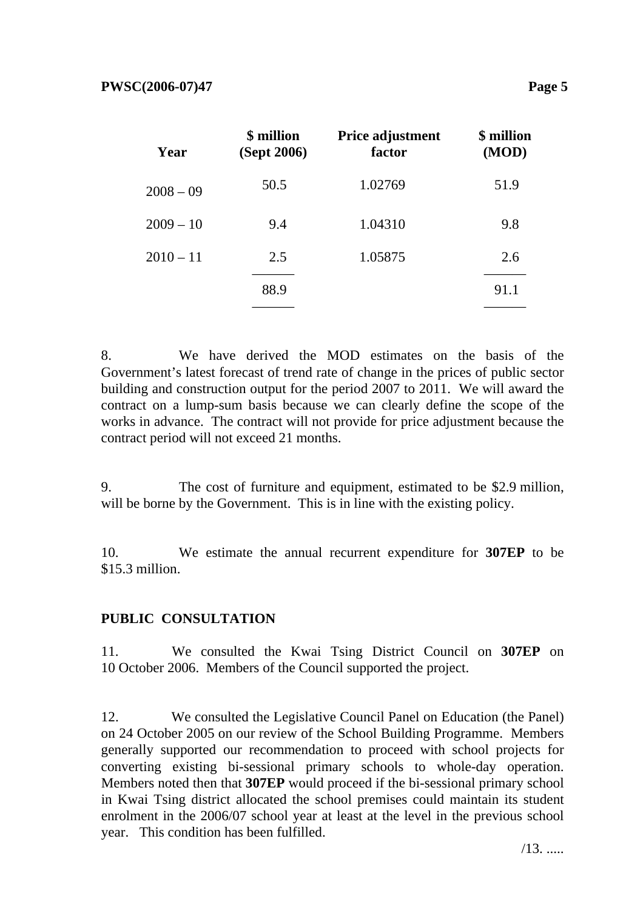| Year        | \$ million<br>(Sept 2006) | Price adjustment<br>factor | \$ million<br>(MOD) |
|-------------|---------------------------|----------------------------|---------------------|
| $2008 - 09$ | 50.5                      | 1.02769                    | 51.9                |
| $2009 - 10$ | 9.4                       | 1.04310                    | 9.8                 |
| $2010 - 11$ | 2.5                       | 1.05875                    | 2.6                 |
|             | 88.9                      |                            | 91.1                |

8. We have derived the MOD estimates on the basis of the Government's latest forecast of trend rate of change in the prices of public sector building and construction output for the period 2007 to 2011. We will award the contract on a lump-sum basis because we can clearly define the scope of the works in advance. The contract will not provide for price adjustment because the contract period will not exceed 21 months.

——— ———

9. The cost of furniture and equipment, estimated to be \$2.9 million, will be borne by the Government. This is in line with the existing policy.

10. We estimate the annual recurrent expenditure for **307EP** to be \$15.3 million.

## **PUBLIC CONSULTATION**

11. We consulted the Kwai Tsing District Council on **307EP** on 10 October 2006. Members of the Council supported the project.

12. We consulted the Legislative Council Panel on Education (the Panel) on 24 October 2005 on our review of the School Building Programme. Members generally supported our recommendation to proceed with school projects for converting existing bi-sessional primary schools to whole-day operation. Members noted then that **307EP** would proceed if the bi-sessional primary school in Kwai Tsing district allocated the school premises could maintain its student enrolment in the 2006/07 school year at least at the level in the previous school year. This condition has been fulfilled.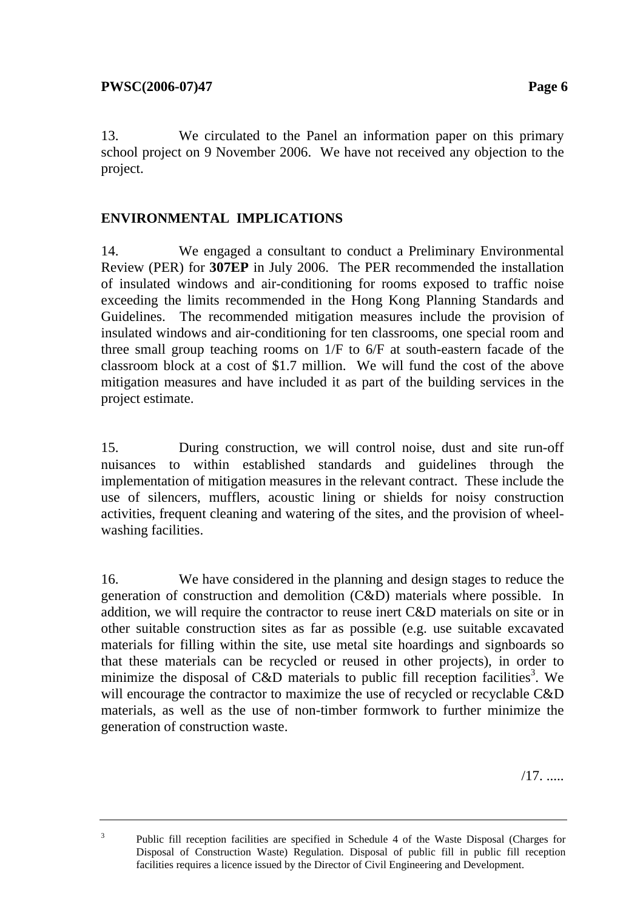13. We circulated to the Panel an information paper on this primary school project on 9 November 2006. We have not received any objection to the project.

# **ENVIRONMENTAL IMPLICATIONS**

14. We engaged a consultant to conduct a Preliminary Environmental Review (PER) for **307EP** in July 2006. The PER recommended the installation of insulated windows and air-conditioning for rooms exposed to traffic noise exceeding the limits recommended in the Hong Kong Planning Standards and Guidelines. The recommended mitigation measures include the provision of insulated windows and air-conditioning for ten classrooms, one special room and three small group teaching rooms on 1/F to 6/F at south-eastern facade of the classroom block at a cost of \$1.7 million. We will fund the cost of the above mitigation measures and have included it as part of the building services in the project estimate.

15. During construction, we will control noise, dust and site run-off nuisances to within established standards and guidelines through the implementation of mitigation measures in the relevant contract. These include the use of silencers, mufflers, acoustic lining or shields for noisy construction activities, frequent cleaning and watering of the sites, and the provision of wheelwashing facilities.

16. We have considered in the planning and design stages to reduce the generation of construction and demolition (C&D) materials where possible. In addition, we will require the contractor to reuse inert C&D materials on site or in other suitable construction sites as far as possible (e.g. use suitable excavated materials for filling within the site, use metal site hoardings and signboards so that these materials can be recycled or reused in other projects), in order to minimize the disposal of C&D materials to public fill reception facilities<sup>3</sup>. We will encourage the contractor to maximize the use of recycled or recyclable C&D materials, as well as the use of non-timber formwork to further minimize the generation of construction waste.

 $/17$ 

<sup>3</sup> Public fill reception facilities are specified in Schedule 4 of the Waste Disposal (Charges for Disposal of Construction Waste) Regulation. Disposal of public fill in public fill reception facilities requires a licence issued by the Director of Civil Engineering and Development.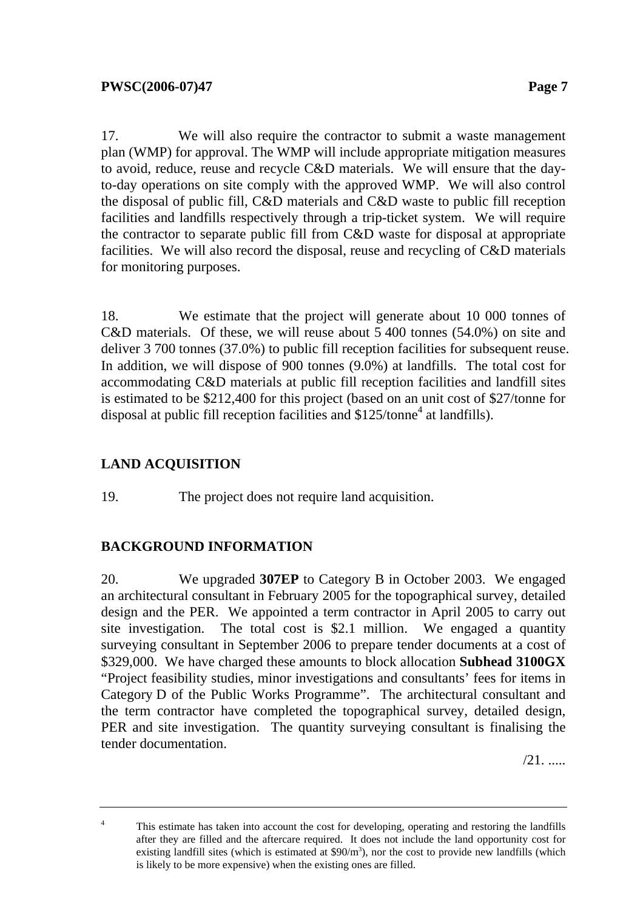17. We will also require the contractor to submit a waste management plan (WMP) for approval. The WMP will include appropriate mitigation measures to avoid, reduce, reuse and recycle C&D materials. We will ensure that the dayto-day operations on site comply with the approved WMP. We will also control the disposal of public fill, C&D materials and C&D waste to public fill reception facilities and landfills respectively through a trip-ticket system. We will require the contractor to separate public fill from C&D waste for disposal at appropriate facilities. We will also record the disposal, reuse and recycling of C&D materials for monitoring purposes.

18. We estimate that the project will generate about 10 000 tonnes of C&D materials. Of these, we will reuse about 5 400 tonnes (54.0%) on site and deliver 3 700 tonnes (37.0%) to public fill reception facilities for subsequent reuse. In addition, we will dispose of 900 tonnes (9.0%) at landfills. The total cost for accommodating C&D materials at public fill reception facilities and landfill sites is estimated to be \$212,400 for this project (based on an unit cost of \$27/tonne for disposal at public fill reception facilities and  $$125/tonne<sup>4</sup>$  at landfills).

# **LAND ACQUISITION**

19. The project does not require land acquisition.

# **BACKGROUND INFORMATION**

20. We upgraded **307EP** to Category B in October 2003. We engaged an architectural consultant in February 2005 for the topographical survey, detailed design and the PER. We appointed a term contractor in April 2005 to carry out site investigation. The total cost is \$2.1 million. We engaged a quantity surveying consultant in September 2006 to prepare tender documents at a cost of \$329,000. We have charged these amounts to block allocation **Subhead 3100GX** "Project feasibility studies, minor investigations and consultants' fees for items in Category D of the Public Works Programme". The architectural consultant and the term contractor have completed the topographical survey, detailed design, PER and site investigation. The quantity surveying consultant is finalising the tender documentation.

 $/21.$  .....

<sup>4</sup>

This estimate has taken into account the cost for developing, operating and restoring the landfills after they are filled and the aftercare required. It does not include the land opportunity cost for existing landfill sites (which is estimated at  $$90/m<sup>3</sup>$ ), nor the cost to provide new landfills (which is likely to be more expensive) when the existing ones are filled.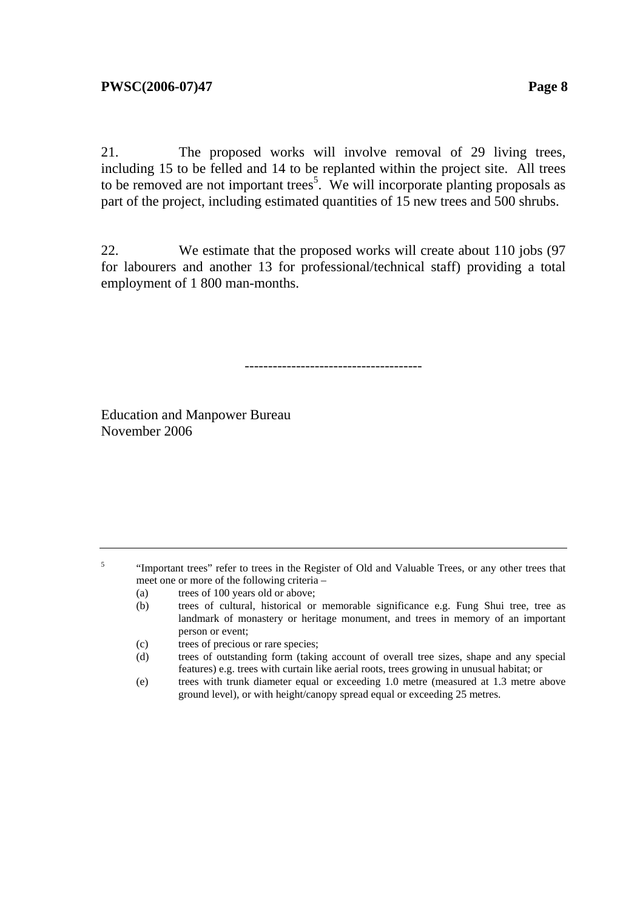21. The proposed works will involve removal of 29 living trees, including 15 to be felled and 14 to be replanted within the project site. All trees to be removed are not important trees<sup>5</sup>. We will incorporate planting proposals as part of the project, including estimated quantities of 15 new trees and 500 shrubs.

22. We estimate that the proposed works will create about 110 jobs (97 for labourers and another 13 for professional/technical staff) providing a total employment of 1 800 man-months.

--------------------------------------

Education and Manpower Bureau November 2006

5

 "Important trees" refer to trees in the Register of Old and Valuable Trees, or any other trees that meet one or more of the following criteria –

- (a) trees of 100 years old or above;
- (b) trees of cultural, historical or memorable significance e.g. Fung Shui tree, tree as landmark of monastery or heritage monument, and trees in memory of an important person or event;
- (c) trees of precious or rare species;
- (d) trees of outstanding form (taking account of overall tree sizes, shape and any special features) e.g. trees with curtain like aerial roots, trees growing in unusual habitat; or
- (e) trees with trunk diameter equal or exceeding 1.0 metre (measured at 1.3 metre above ground level), or with height/canopy spread equal or exceeding 25 metres.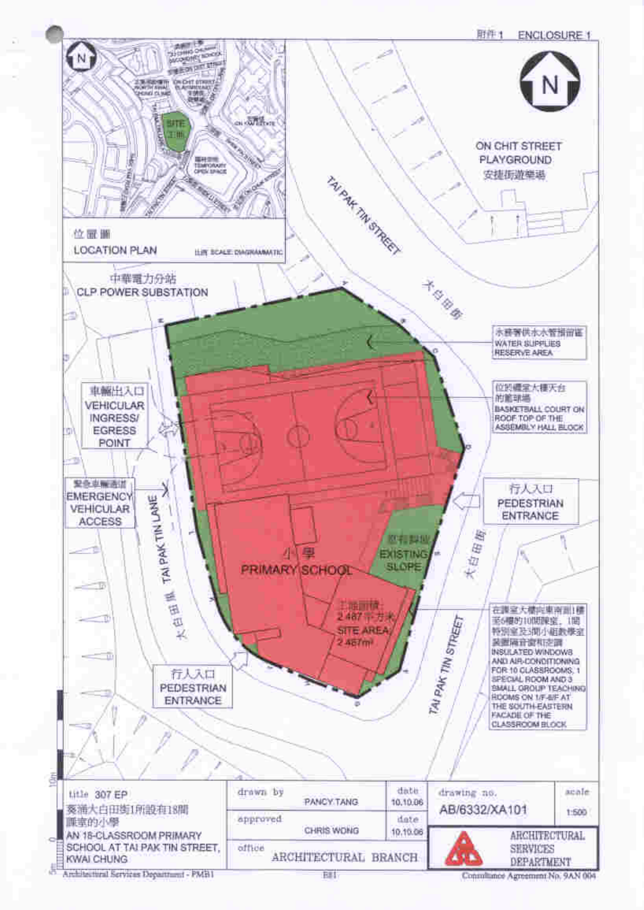

Architectural Services Department - PMB1

Consultance Agreement No. 9AN 004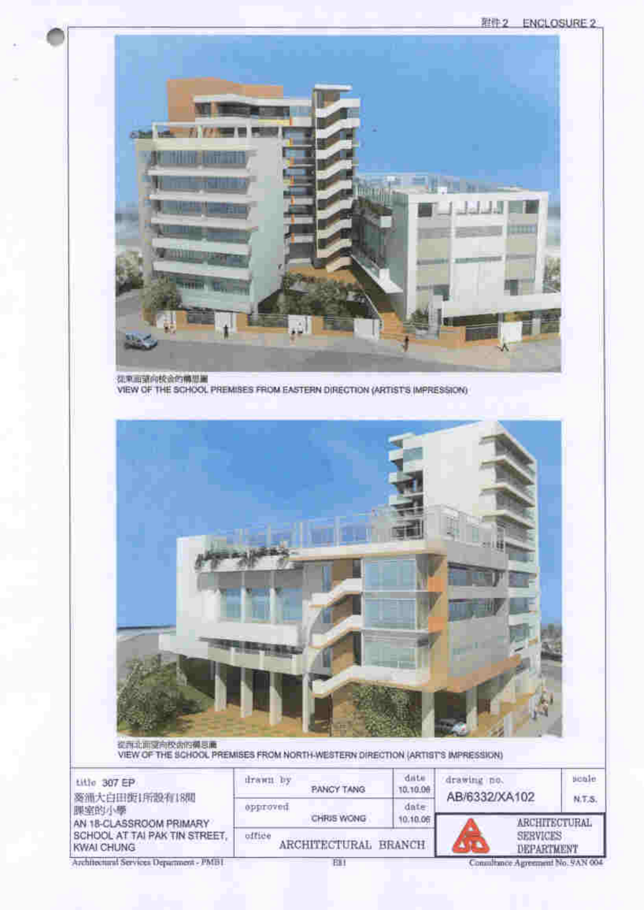

**ICTILITE SCHOOL PREMISES FROM NORTH-WESTERN DIRECTION (ARTIST'S IMPRESSION)** 

| Litin 307 EP<br> 薬涌大白田街1所設有18脚                    | drawn by<br><b>PANCY TANG</b>  | date<br>10.10.06 | drawing no.<br>AB/6332/XA102    | sinnie.<br>N.T.S. |
|---------------------------------------------------|--------------------------------|------------------|---------------------------------|-------------------|
| 腰室的小學<br>AN 18-CLASSROOM PRIMARY                  | opproved<br>CHRIS WONG         | date<br>10.10.06 | <b><i>ARCHUTSCITURAL</i></b>    |                   |
| <b>SCHOOL AT TAI PAK TIN STREET</b><br>KWAI CHUNG | office<br>ARCHITECTURAL BRANCH |                  | SERVICES<br>DEPARTMENT          |                   |
| Architectural Services Department - PMB1          | BB                             |                  | countinue Agreement No. 9AN 004 |                   |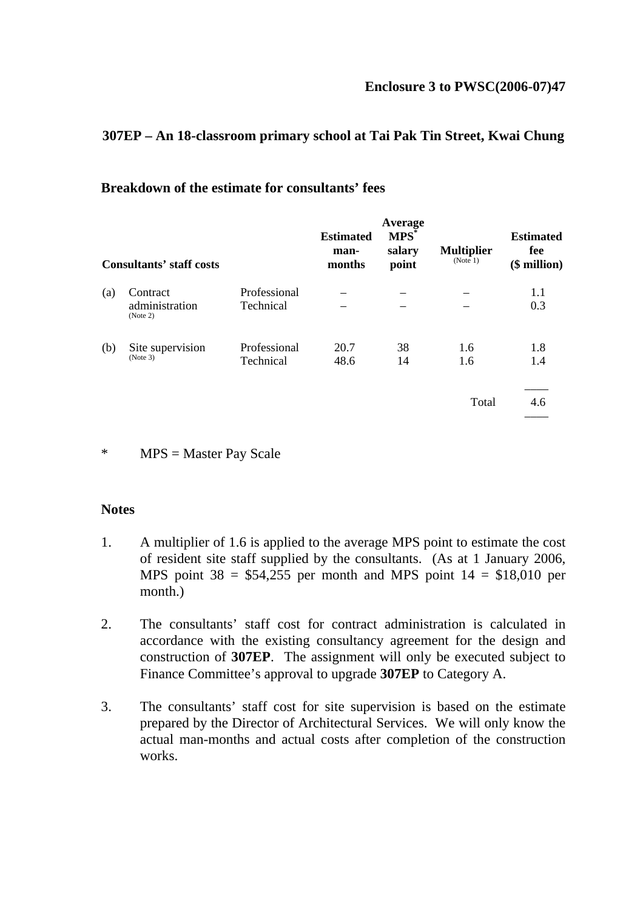### **307EP – An 18-classroom primary school at Tai Pak Tin Street, Kwai Chung**

| <b>Consultants' staff costs</b> |                                        |                           | <b>Estimated</b><br>man-<br>months | Average<br>$MPS^*$<br>salary<br>point | <b>Multiplier</b><br>(Note 1) | <b>Estimated</b><br>fee<br>(\$ million) |
|---------------------------------|----------------------------------------|---------------------------|------------------------------------|---------------------------------------|-------------------------------|-----------------------------------------|
| (a)                             | Contract<br>administration<br>(Note 2) | Professional<br>Technical |                                    |                                       |                               | 1.1<br>0.3                              |
| (b)                             | Site supervision<br>(Note 3)           | Professional<br>Technical | 20.7<br>48.6                       | 38<br>14                              | 1.6<br>1.6                    | 1.8<br>1.4                              |
|                                 |                                        |                           |                                    |                                       | Total                         | 4.6                                     |

#### **Breakdown of the estimate for consultants' fees**

\* MPS = Master Pay Scale

### **Notes**

- 1. A multiplier of 1.6 is applied to the average MPS point to estimate the cost of resident site staff supplied by the consultants. (As at 1 January 2006, MPS point  $38 = $54,255$  per month and MPS point  $14 = $18,010$  per month.)
- 2. The consultants' staff cost for contract administration is calculated in accordance with the existing consultancy agreement for the design and construction of **307EP**. The assignment will only be executed subject to Finance Committee's approval to upgrade **307EP** to Category A.
- 3. The consultants' staff cost for site supervision is based on the estimate prepared by the Director of Architectural Services. We will only know the actual man-months and actual costs after completion of the construction works.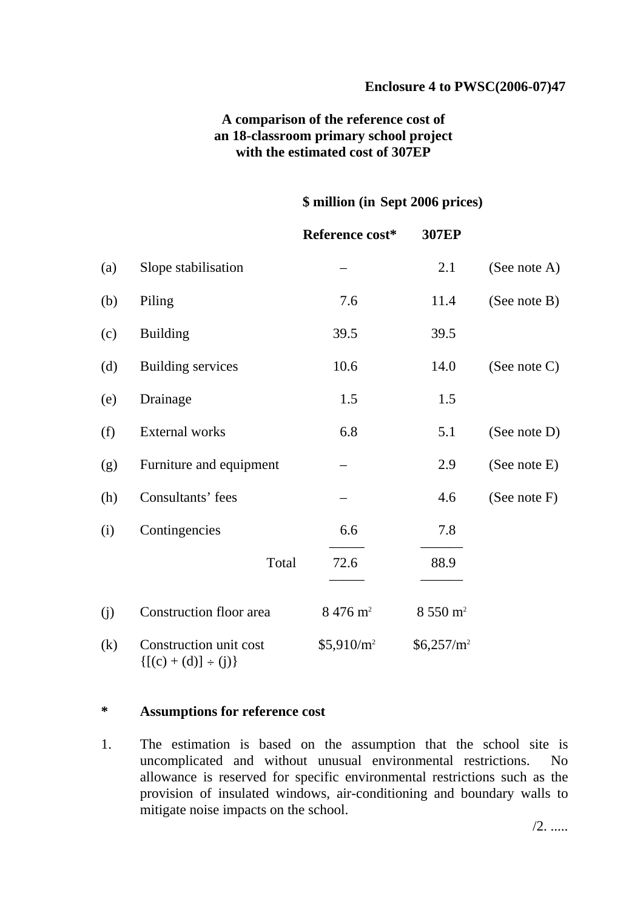### **Enclosure 4 to PWSC(2006-07)47**

# **A comparison of the reference cost of an 18-classroom primary school project with the estimated cost of 307EP**

# **\$ million (in Sept 2006 prices)**

|     |                                                      | Reference cost*        | <b>307EP</b>       |                 |
|-----|------------------------------------------------------|------------------------|--------------------|-----------------|
| (a) | Slope stabilisation                                  |                        | 2.1                | (See note A)    |
| (b) | Piling                                               | 7.6                    | 11.4               | (See note B)    |
| (c) | <b>Building</b>                                      | 39.5                   | 39.5               |                 |
| (d) | <b>Building services</b>                             | 10.6                   | 14.0               | (See note $C$ ) |
| (e) | Drainage                                             | 1.5                    | 1.5                |                 |
| (f) | External works                                       | 6.8                    | 5.1                | (See note D)    |
| (g) | Furniture and equipment                              |                        | 2.9                | (See note E)    |
| (h) | Consultants' fees                                    |                        | 4.6                | (See note $F$ ) |
| (i) | Contingencies                                        | 6.6                    | 7.8                |                 |
|     | Total                                                | 72.6                   | 88.9               |                 |
| (j) | Construction floor area                              | $8\,476\,\mathrm{m}^2$ | $8550 \text{ m}^2$ |                 |
| (k) | Construction unit cost<br>$\{[(c) + (d)] \div (j)\}$ | $$5,910/m^2$           | $$6,257/m^2$$      |                 |

### **\* Assumptions for reference cost**

1. The estimation is based on the assumption that the school site is uncomplicated and without unusual environmental restrictions. No allowance is reserved for specific environmental restrictions such as the provision of insulated windows, air-conditioning and boundary walls to mitigate noise impacts on the school.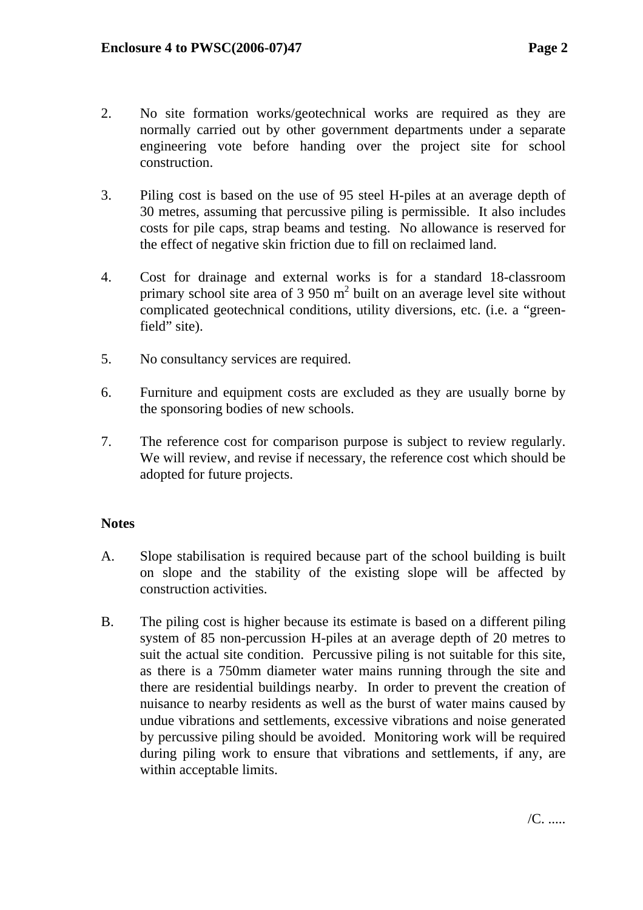- 2. No site formation works/geotechnical works are required as they are normally carried out by other government departments under a separate engineering vote before handing over the project site for school construction.
- 3. Piling cost is based on the use of 95 steel H-piles at an average depth of 30 metres, assuming that percussive piling is permissible. It also includes costs for pile caps, strap beams and testing. No allowance is reserved for the effect of negative skin friction due to fill on reclaimed land.
- 4. Cost for drainage and external works is for a standard 18-classroom primary school site area of  $3.950 \text{ m}^2$  built on an average level site without complicated geotechnical conditions, utility diversions, etc. (i.e. a "greenfield" site).
- 5. No consultancy services are required.
- 6. Furniture and equipment costs are excluded as they are usually borne by the sponsoring bodies of new schools.
- 7. The reference cost for comparison purpose is subject to review regularly. We will review, and revise if necessary, the reference cost which should be adopted for future projects.

## **Notes**

- A. Slope stabilisation is required because part of the school building is built on slope and the stability of the existing slope will be affected by construction activities.
- B. The piling cost is higher because its estimate is based on a different piling system of 85 non-percussion H-piles at an average depth of 20 metres to suit the actual site condition. Percussive piling is not suitable for this site, as there is a 750mm diameter water mains running through the site and there are residential buildings nearby. In order to prevent the creation of nuisance to nearby residents as well as the burst of water mains caused by undue vibrations and settlements, excessive vibrations and noise generated by percussive piling should be avoided. Monitoring work will be required during piling work to ensure that vibrations and settlements, if any, are within acceptable limits.